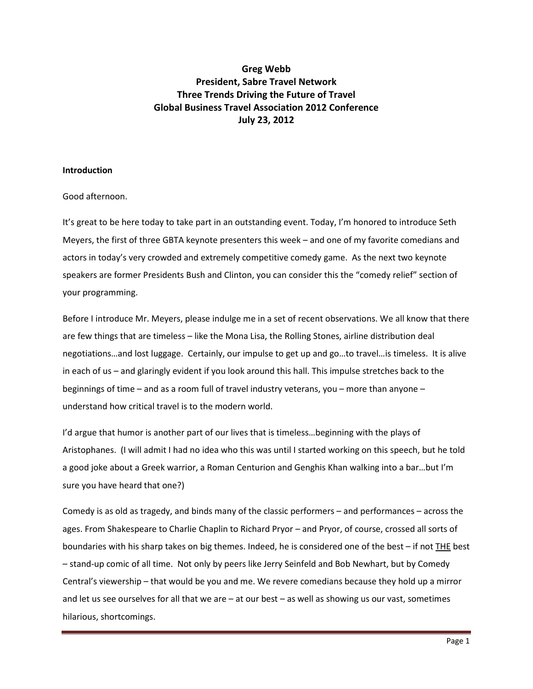# **Greg Webb President, Sabre Travel Network Three Trends Driving the Future of Travel Global Business Travel Association 2012 Conference July 23, 2012**

# **Introduction**

# Good afternoon.

It's great to be here today to take part in an outstanding event. Today, I'm honored to introduce Seth Meyers, the first of three GBTA keynote presenters this week – and one of my favorite comedians and actors in today's very crowded and extremely competitive comedy game. As the next two keynote speakers are former Presidents Bush and Clinton, you can consider this the "comedy relief" section of your programming.

Before I introduce Mr. Meyers, please indulge me in a set of recent observations. We all know that there are few things that are timeless – like the Mona Lisa, the Rolling Stones, airline distribution deal negotiations…and lost luggage. Certainly, our impulse to get up and go…to travel…is timeless. It is alive in each of us – and glaringly evident if you look around this hall. This impulse stretches back to the beginnings of time – and as a room full of travel industry veterans, you – more than anyone – understand how critical travel is to the modern world.

I'd argue that humor is another part of our lives that is timeless…beginning with the plays of Aristophanes. (I will admit I had no idea who this was until I started working on this speech, but he told a good joke about a Greek warrior, a Roman Centurion and Genghis Khan walking into a bar…but I'm sure you have heard that one?)

Comedy is as old as tragedy, and binds many of the classic performers – and performances – across the ages. From Shakespeare to Charlie Chaplin to Richard Pryor – and Pryor, of course, crossed all sorts of boundaries with his sharp takes on big themes. Indeed, he is considered one of the best – if not THE best – stand-up comic of all time. Not only by peers like Jerry Seinfeld and Bob Newhart, but by Comedy Central's viewership – that would be you and me. We revere comedians because they hold up a mirror and let us see ourselves for all that we are – at our best – as well as showing us our vast, sometimes hilarious, shortcomings.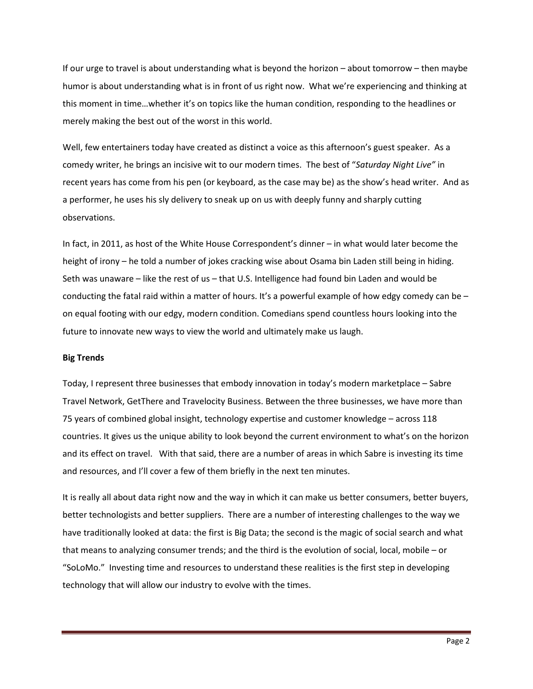If our urge to travel is about understanding what is beyond the horizon – about tomorrow – then maybe humor is about understanding what is in front of us right now. What we're experiencing and thinking at this moment in time…whether it's on topics like the human condition, responding to the headlines or merely making the best out of the worst in this world.

Well, few entertainers today have created as distinct a voice as this afternoon's guest speaker. As a comedy writer, he brings an incisive wit to our modern times. The best of "*Saturday Night Live"* in recent years has come from his pen (or keyboard, as the case may be) as the show's head writer. And as a performer, he uses his sly delivery to sneak up on us with deeply funny and sharply cutting observations.

In fact, in 2011, as host of the White House Correspondent's dinner – in what would later become the height of irony – he told a number of jokes cracking wise about Osama bin Laden still being in hiding. Seth was unaware – like the rest of us – that U.S. Intelligence had found bin Laden and would be conducting the fatal raid within a matter of hours. It's a powerful example of how edgy comedy can be – on equal footing with our edgy, modern condition. Comedians spend countless hours looking into the future to innovate new ways to view the world and ultimately make us laugh.

# **Big Trends**

Today, I represent three businesses that embody innovation in today's modern marketplace – Sabre Travel Network, GetThere and Travelocity Business. Between the three businesses, we have more than 75 years of combined global insight, technology expertise and customer knowledge – across 118 countries. It gives us the unique ability to look beyond the current environment to what's on the horizon and its effect on travel. With that said, there are a number of areas in which Sabre is investing its time and resources, and I'll cover a few of them briefly in the next ten minutes.

It is really all about data right now and the way in which it can make us better consumers, better buyers, better technologists and better suppliers. There are a number of interesting challenges to the way we have traditionally looked at data: the first is Big Data; the second is the magic of social search and what that means to analyzing consumer trends; and the third is the evolution of social, local, mobile – or "SoLoMo." Investing time and resources to understand these realities is the first step in developing technology that will allow our industry to evolve with the times.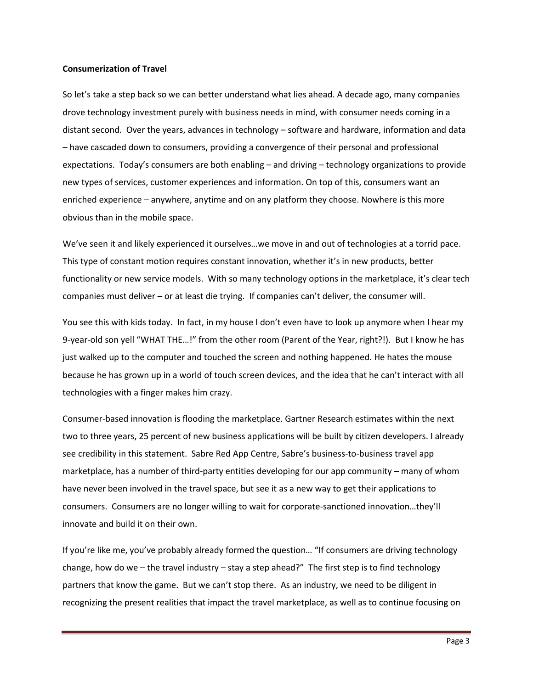#### **Consumerization of Travel**

So let's take a step back so we can better understand what lies ahead. A decade ago, many companies drove technology investment purely with business needs in mind, with consumer needs coming in a distant second. Over the years, advances in technology – software and hardware, information and data – have cascaded down to consumers, providing a convergence of their personal and professional expectations. Today's consumers are both enabling – and driving – technology organizations to provide new types of services, customer experiences and information. On top of this, consumers want an enriched experience – anywhere, anytime and on any platform they choose. Nowhere is this more obvious than in the mobile space.

We've seen it and likely experienced it ourselves…we move in and out of technologies at a torrid pace. This type of constant motion requires constant innovation, whether it's in new products, better functionality or new service models. With so many technology options in the marketplace, it's clear tech companies must deliver – or at least die trying. If companies can't deliver, the consumer will.

You see this with kids today. In fact, in my house I don't even have to look up anymore when I hear my 9-year-old son yell "WHAT THE…!" from the other room (Parent of the Year, right?!). But I know he has just walked up to the computer and touched the screen and nothing happened. He hates the mouse because he has grown up in a world of touch screen devices, and the idea that he can't interact with all technologies with a finger makes him crazy.

Consumer-based innovation is flooding the marketplace. Gartner Research estimates within the next two to three years, 25 percent of new business applications will be built by citizen developers. I already see credibility in this statement. Sabre Red App Centre, Sabre's business-to-business travel app marketplace, has a number of third-party entities developing for our app community – many of whom have never been involved in the travel space, but see it as a new way to get their applications to consumers. Consumers are no longer willing to wait for corporate-sanctioned innovation…they'll innovate and build it on their own.

If you're like me, you've probably already formed the question… "If consumers are driving technology change, how do we – the travel industry – stay a step ahead?" The first step is to find technology partners that know the game. But we can't stop there. As an industry, we need to be diligent in recognizing the present realities that impact the travel marketplace, as well as to continue focusing on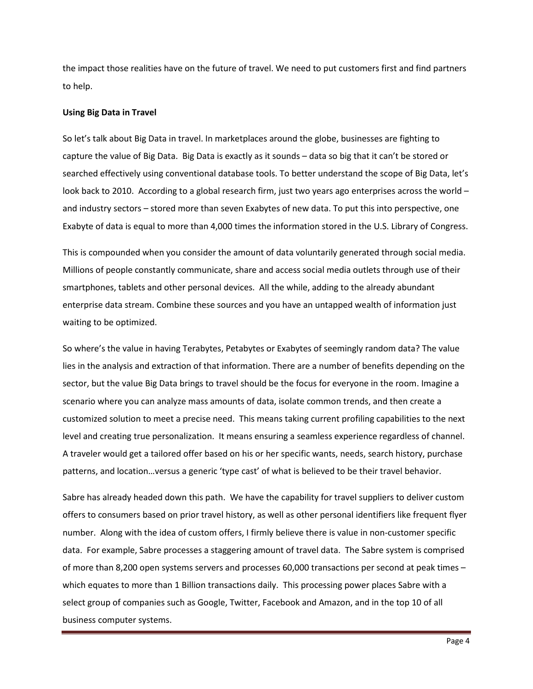the impact those realities have on the future of travel. We need to put customers first and find partners to help.

#### **Using Big Data in Travel**

So let's talk about Big Data in travel. In marketplaces around the globe, businesses are fighting to capture the value of Big Data. Big Data is exactly as it sounds – data so big that it can't be stored or searched effectively using conventional database tools. To better understand the scope of Big Data, let's look back to 2010. According to a global research firm, just two years ago enterprises across the world and industry sectors – stored more than seven Exabytes of new data. To put this into perspective, one Exabyte of data is equal to more than 4,000 times the information stored in the U.S. Library of Congress.

This is compounded when you consider the amount of data voluntarily generated through social media. Millions of people constantly communicate, share and access social media outlets through use of their smartphones, tablets and other personal devices. All the while, adding to the already abundant enterprise data stream. Combine these sources and you have an untapped wealth of information just waiting to be optimized.

So where's the value in having Terabytes, Petabytes or Exabytes of seemingly random data? The value lies in the analysis and extraction of that information. There are a number of benefits depending on the sector, but the value Big Data brings to travel should be the focus for everyone in the room. Imagine a scenario where you can analyze mass amounts of data, isolate common trends, and then create a customized solution to meet a precise need. This means taking current profiling capabilities to the next level and creating true personalization. It means ensuring a seamless experience regardless of channel. A traveler would get a tailored offer based on his or her specific wants, needs, search history, purchase patterns, and location…versus a generic 'type cast' of what is believed to be their travel behavior.

Sabre has already headed down this path. We have the capability for travel suppliers to deliver custom offers to consumers based on prior travel history, as well as other personal identifiers like frequent flyer number. Along with the idea of custom offers, I firmly believe there is value in non-customer specific data. For example, Sabre processes a staggering amount of travel data. The Sabre system is comprised of more than 8,200 open systems servers and processes 60,000 transactions per second at peak times – which equates to more than 1 Billion transactions daily. This processing power places Sabre with a select group of companies such as Google, Twitter, Facebook and Amazon, and in the top 10 of all business computer systems.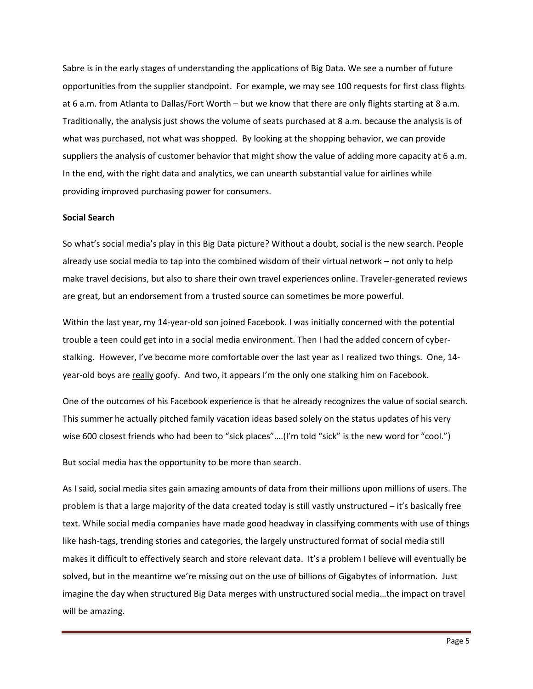Sabre is in the early stages of understanding the applications of Big Data. We see a number of future opportunities from the supplier standpoint. For example, we may see 100 requests for first class flights at 6 a.m. from Atlanta to Dallas/Fort Worth – but we know that there are only flights starting at 8 a.m. Traditionally, the analysis just shows the volume of seats purchased at 8 a.m. because the analysis is of what was purchased, not what was shopped. By looking at the shopping behavior, we can provide suppliers the analysis of customer behavior that might show the value of adding more capacity at 6 a.m. In the end, with the right data and analytics, we can unearth substantial value for airlines while providing improved purchasing power for consumers.

#### **Social Search**

So what's social media's play in this Big Data picture? Without a doubt, social is the new search. People already use social media to tap into the combined wisdom of their virtual network – not only to help make travel decisions, but also to share their own travel experiences online. Traveler-generated reviews are great, but an endorsement from a trusted source can sometimes be more powerful.

Within the last year, my 14-year-old son joined Facebook. I was initially concerned with the potential trouble a teen could get into in a social media environment. Then I had the added concern of cyberstalking. However, I've become more comfortable over the last year as I realized two things. One, 14 year-old boys are really goofy. And two, it appears I'm the only one stalking him on Facebook.

One of the outcomes of his Facebook experience is that he already recognizes the value of social search. This summer he actually pitched family vacation ideas based solely on the status updates of his very wise 600 closest friends who had been to "sick places"….(I'm told "sick" is the new word for "cool.")

But social media has the opportunity to be more than search.

As I said, social media sites gain amazing amounts of data from their millions upon millions of users. The problem is that a large majority of the data created today is still vastly unstructured – it's basically free text. While social media companies have made good headway in classifying comments with use of things like hash-tags, trending stories and categories, the largely unstructured format of social media still makes it difficult to effectively search and store relevant data. It's a problem I believe will eventually be solved, but in the meantime we're missing out on the use of billions of Gigabytes of information. Just imagine the day when structured Big Data merges with unstructured social media…the impact on travel will be amazing.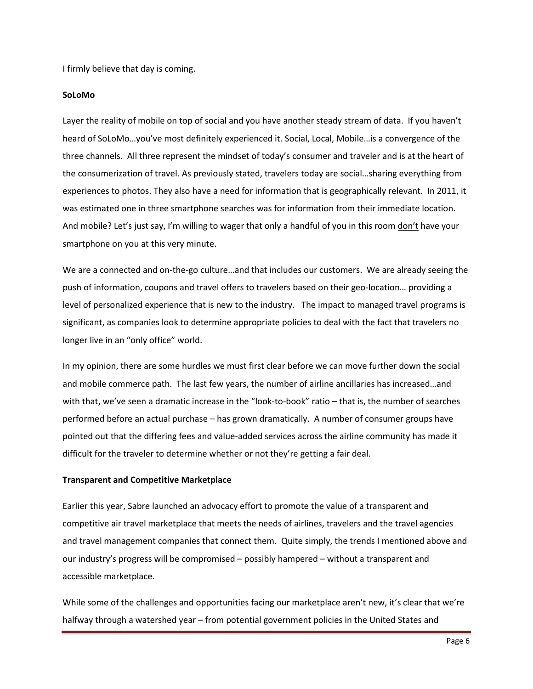I firmly believe that day is coming.

# **SoLoMo**

Layer the reality of mobile on top of social and you have another steady stream of data. If you haven't heard of SoLoMo…you've most definitely experienced it. Social, Local, Mobile…is a convergence of the three channels. All three represent the mindset of today's consumer and traveler and is at the heart of the consumerization of travel. As previously stated, travelers today are social…sharing everything from experiences to photos. They also have a need for information that is geographically relevant. In 2011, it was estimated one in three smartphone searches was for information from their immediate location. And mobile? Let's just say, I'm willing to wager that only a handful of you in this room <u>don't</u> have your smartphone on you at this very minute.

We are a connected and on-the-go culture…and that includes our customers. We are already seeing the push of information, coupons and travel offers to travelers based on their geo-location… providing a level of personalized experience that is new to the industry. The impact to managed travel programs is significant, as companies look to determine appropriate policies to deal with the fact that travelers no longer live in an "only office" world.

In my opinion, there are some hurdles we must first clear before we can move further down the social and mobile commerce path. The last few years, the number of airline ancillaries has increased…and with that, we've seen a dramatic increase in the "look-to-book" ratio – that is, the number of searches performed before an actual purchase – has grown dramatically. A number of consumer groups have pointed out that the differing fees and value-added services across the airline community has made it difficult for the traveler to determine whether or not they're getting a fair deal.

# **Transparent and Competitive Marketplace**

Earlier this year, Sabre launched an advocacy effort to promote the value of a transparent and competitive air travel marketplace that meets the needs of airlines, travelers and the travel agencies and travel management companies that connect them. Quite simply, the trends I mentioned above and our industry's progress will be compromised – possibly hampered – without a transparent and accessible marketplace.

While some of the challenges and opportunities facing our marketplace aren't new, it's clear that we're halfway through a watershed year – from potential government policies in the United States and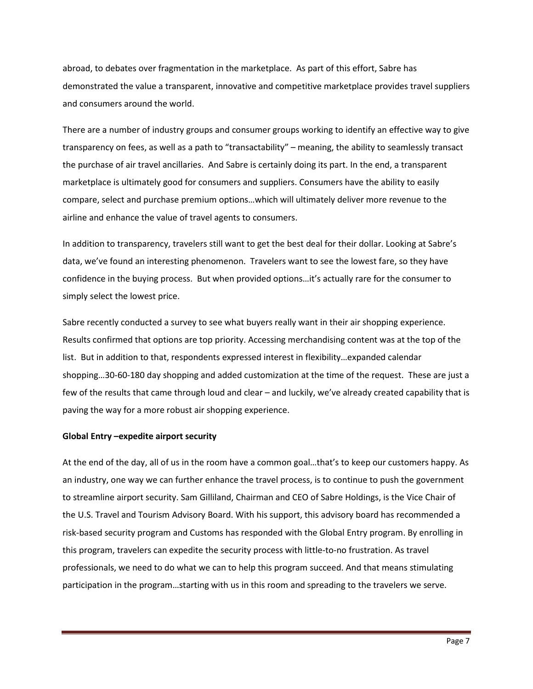abroad, to debates over fragmentation in the marketplace. As part of this effort, Sabre has demonstrated the value a transparent, innovative and competitive marketplace provides travel suppliers and consumers around the world.

There are a number of industry groups and consumer groups working to identify an effective way to give transparency on fees, as well as a path to "transactability" – meaning, the ability to seamlessly transact the purchase of air travel ancillaries. And Sabre is certainly doing its part. In the end, a transparent marketplace is ultimately good for consumers and suppliers. Consumers have the ability to easily compare, select and purchase premium options…which will ultimately deliver more revenue to the airline and enhance the value of travel agents to consumers.

In addition to transparency, travelers still want to get the best deal for their dollar. Looking at Sabre's data, we've found an interesting phenomenon. Travelers want to see the lowest fare, so they have confidence in the buying process. But when provided options…it's actually rare for the consumer to simply select the lowest price.

Sabre recently conducted a survey to see what buyers really want in their air shopping experience. Results confirmed that options are top priority. Accessing merchandising content was at the top of the list. But in addition to that, respondents expressed interest in flexibility…expanded calendar shopping…30-60-180 day shopping and added customization at the time of the request. These are just a few of the results that came through loud and clear – and luckily, we've already created capability that is paving the way for a more robust air shopping experience.

# **Global Entry –expedite airport security**

At the end of the day, all of us in the room have a common goal…that's to keep our customers happy. As an industry, one way we can further enhance the travel process, is to continue to push the government to streamline airport security. Sam Gilliland, Chairman and CEO of Sabre Holdings, is the Vice Chair of the U.S. Travel and Tourism Advisory Board. With his support, this advisory board has recommended a risk-based security program and Customs has responded with the Global Entry program. By enrolling in this program, travelers can expedite the security process with little-to-no frustration. As travel professionals, we need to do what we can to help this program succeed. And that means stimulating participation in the program…starting with us in this room and spreading to the travelers we serve.